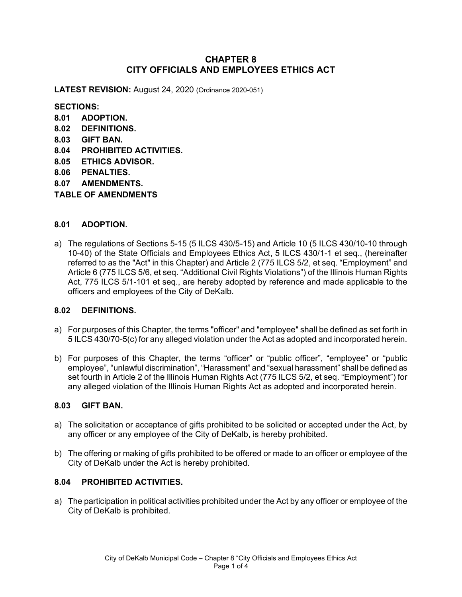# **CHAPTER 8 CITY OFFICIALS AND EMPLOYEES ETHICS ACT**

**LATEST REVISION:** August 24, 2020 (Ordinance 2020-051)

**SECTIONS:**

- **8.01 ADOPTION.**
- **8.02 DEFINITIONS.**
- **8.03 GIFT BAN.**
- **8.04 PROHIBITED ACTIVITIES.**
- **8.05 ETHICS ADVISOR.**
- **8.06 PENALTIES.**
- **8.07 AMENDMENTS.**
- **TABLE OF AMENDMENTS**

## **8.01 ADOPTION.**

a) The regulations of Sections 5-15 (5 ILCS 430/5-15) and Article 10 (5 ILCS 430/10-10 through 10-40) of the State Officials and Employees Ethics Act, 5 ILCS 430/1-1 et seq., (hereinafter referred to as the "Act" in this Chapter) and Article 2 (775 ILCS 5/2, et seq. "Employment" and Article 6 (775 ILCS 5/6, et seq. "Additional Civil Rights Violations") of the Illinois Human Rights Act, 775 ILCS 5/1-101 et seq., are hereby adopted by reference and made applicable to the officers and employees of the City of DeKalb.

#### **8.02 DEFINITIONS.**

- a) For purposes of this Chapter, the terms "officer" and "employee" shall be defined as set forth in 5 ILCS 430/70-5(c) for any alleged violation under the Act as adopted and incorporated herein.
- b) For purposes of this Chapter, the terms "officer" or "public officer", "employee" or "public employee", "unlawful discrimination", "Harassment" and "sexual harassment" shall be defined as set fourth in Article 2 of the Illinois Human Rights Act (775 ILCS 5/2, et seq. "Employment") for any alleged violation of the Illinois Human Rights Act as adopted and incorporated herein.

#### **8.03 GIFT BAN.**

- a) The solicitation or acceptance of gifts prohibited to be solicited or accepted under the Act, by any officer or any employee of the City of DeKalb, is hereby prohibited.
- b) The offering or making of gifts prohibited to be offered or made to an officer or employee of the City of DeKalb under the Act is hereby prohibited.

# **8.04 PROHIBITED ACTIVITIES.**

a) The participation in political activities prohibited under the Act by any officer or employee of the City of DeKalb is prohibited.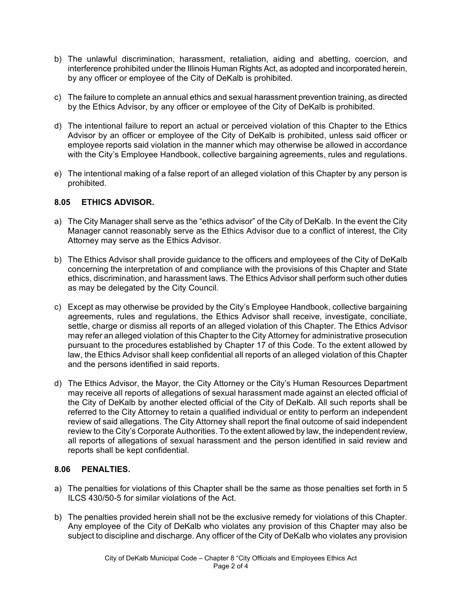- b) The unlawful discrimination, harassment, retaliation, aiding and abetting, coercion, and interference prohibited under the Illinois Human Rights Act, as adopted and incorporated herein, by any officer or employee of the City of DeKalb is prohibited.
- c) The failure to complete an annual ethics and sexual harassment prevention training, as directed by the Ethics Advisor, by any officer or employee of the City of DeKalb is prohibited.
- d) The intentional failure to report an actual or perceived violation of this Chapter to the Ethics Advisor by an officer or employee of the City of DeKalb is prohibited, unless said officer or employee reports said violation in the manner which may otherwise be allowed in accordance with the City's Employee Handbook, collective bargaining agreements, rules and regulations.
- e) The intentional making of a false report of an alleged violation of this Chapter by any person is prohibited.

#### **8.05 ETHICS ADVISOR.**

- a) The City Manager shall serve as the "ethics advisor" of the City of DeKalb. In the event the City Manager cannot reasonably serve as the Ethics Advisor due to a conflict of interest, the City Attorney may serve as the Ethics Advisor.
- b) The Ethics Advisor shall provide guidance to the officers and employees of the City of DeKalb concerning the interpretation of and compliance with the provisions of this Chapter and State ethics, discrimination, and harassment laws. The Ethics Advisor shall perform such other duties as may be delegated by the City Council*.*
- c) Except as may otherwise be provided by the City's Employee Handbook, collective bargaining agreements, rules and regulations, the Ethics Advisor shall receive, investigate, conciliate, settle, charge or dismiss all reports of an alleged violation of this Chapter. The Ethics Advisor may refer an alleged violation of this Chapter to the City Attorney for administrative prosecution pursuant to the procedures established by Chapter 17 of this Code. To the extent allowed by law, the Ethics Advisor shall keep confidential all reports of an alleged violation of this Chapter and the persons identified in said reports.
- d) The Ethics Advisor, the Mayor, the City Attorney or the City's Human Resources Department may receive all reports of allegations of sexual harassment made against an elected official of the City of DeKalb by another elected official of the City of DeKalb. All such reports shall be referred to the City Attorney to retain a qualified individual or entity to perform an independent review of said allegations. The City Attorney shall report the final outcome of said independent review to the City's Corporate Authorities. To the extent allowed by law, the independent review, all reports of allegations of sexual harassment and the person identified in said review and reports shall be kept confidential.

# **8.06 PENALTIES.**

- a) The penalties for violations of this Chapter shall be the same as those penalties set forth in 5 ILCS 430/50-5 for similar violations of the Act.
- b) The penalties provided herein shall not be the exclusive remedy for violations of this Chapter. Any employee of the City of DeKalb who violates any provision of this Chapter may also be subject to discipline and discharge. Any officer of the City of DeKalb who violates any provision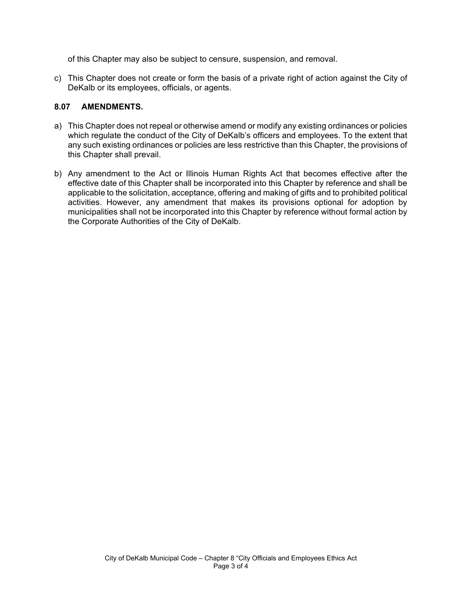of this Chapter may also be subject to censure, suspension, and removal.

c) This Chapter does not create or form the basis of a private right of action against the City of DeKalb or its employees, officials, or agents.

## **8.07 AMENDMENTS.**

- a) This Chapter does not repeal or otherwise amend or modify any existing ordinances or policies which regulate the conduct of the City of DeKalb's officers and employees. To the extent that any such existing ordinances or policies are less restrictive than this Chapter, the provisions of this Chapter shall prevail.
- b) Any amendment to the Act or Illinois Human Rights Act that becomes effective after the effective date of this Chapter shall be incorporated into this Chapter by reference and shall be applicable to the solicitation, acceptance, offering and making of gifts and to prohibited political activities. However, any amendment that makes its provisions optional for adoption by municipalities shall not be incorporated into this Chapter by reference without formal action by the Corporate Authorities of the City of DeKalb.